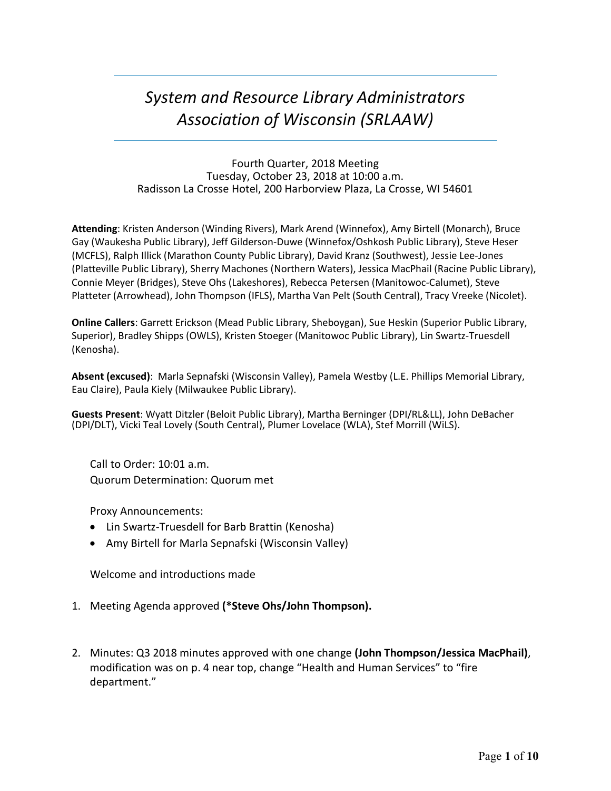# *System and Resource Library Administrators Association of Wisconsin (SRLAAW)*

Fourth Quarter, 2018 Meeting Tuesday, October 23, 2018 at 10:00 a.m. Radisson La Crosse Hotel, 200 Harborview Plaza, La Crosse, WI 54601

**Attending**: Kristen Anderson (Winding Rivers), Mark Arend (Winnefox), Amy Birtell (Monarch), Bruce Gay (Waukesha Public Library), Jeff Gilderson-Duwe (Winnefox/Oshkosh Public Library), Steve Heser (MCFLS), Ralph Illick (Marathon County Public Library), David Kranz (Southwest), Jessie Lee-Jones (Platteville Public Library), Sherry Machones (Northern Waters), Jessica MacPhail (Racine Public Library), Connie Meyer (Bridges), Steve Ohs (Lakeshores), Rebecca Petersen (Manitowoc-Calumet), Steve Platteter (Arrowhead), John Thompson (IFLS), Martha Van Pelt (South Central), Tracy Vreeke (Nicolet).

**Online Callers**: Garrett Erickson (Mead Public Library, Sheboygan), Sue Heskin (Superior Public Library, Superior), Bradley Shipps (OWLS), Kristen Stoeger (Manitowoc Public Library), Lin Swartz-Truesdell (Kenosha).

**Absent (excused)**: Marla Sepnafski (Wisconsin Valley), Pamela Westby (L.E. Phillips Memorial Library, Eau Claire), Paula Kiely (Milwaukee Public Library).

**Guests Present**: Wyatt Ditzler (Beloit Public Library), Martha Berninger (DPI/RL&LL), John DeBacher (DPI/DLT), Vicki Teal Lovely (South Central), Plumer Lovelace (WLA), Stef Morrill (WiLS).

Call to Order: 10:01 a.m. Quorum Determination: Quorum met

Proxy Announcements:

- Lin Swartz-Truesdell for Barb Brattin (Kenosha)
- Amy Birtell for Marla Sepnafski (Wisconsin Valley)

Welcome and introductions made

- 1. Meeting Agenda approved **(\*Steve Ohs/John Thompson).**
- 2. Minutes: Q3 2018 minutes approved with one change **(John Thompson/Jessica MacPhail)**, modification was on p. 4 near top, change "Health and Human Services" to "fire department."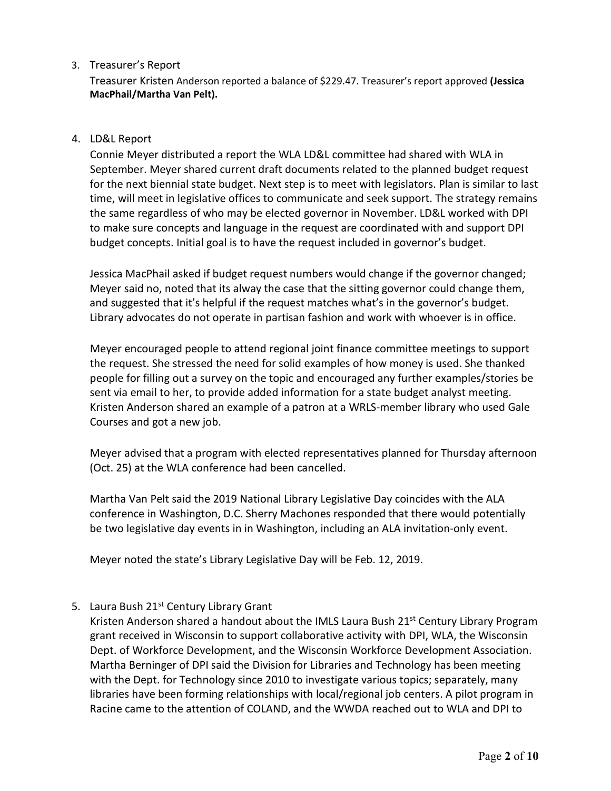# 3. Treasurer's Report

Treasurer Kristen Anderson reported a balance of \$229.47. Treasurer's report approved **(Jessica MacPhail/Martha Van Pelt).**

#### 4. LD&L Report

Connie Meyer distributed a report the WLA LD&L committee had shared with WLA in September. Meyer shared current draft documents related to the planned budget request for the next biennial state budget. Next step is to meet with legislators. Plan is similar to last time, will meet in legislative offices to communicate and seek support. The strategy remains the same regardless of who may be elected governor in November. LD&L worked with DPI to make sure concepts and language in the request are coordinated with and support DPI budget concepts. Initial goal is to have the request included in governor's budget.

Jessica MacPhail asked if budget request numbers would change if the governor changed; Meyer said no, noted that its alway the case that the sitting governor could change them, and suggested that it's helpful if the request matches what's in the governor's budget. Library advocates do not operate in partisan fashion and work with whoever is in office.

Meyer encouraged people to attend regional joint finance committee meetings to support the request. She stressed the need for solid examples of how money is used. She thanked people for filling out a survey on the topic and encouraged any further examples/stories be sent via email to her, to provide added information for a state budget analyst meeting. Kristen Anderson shared an example of a patron at a WRLS-member library who used Gale Courses and got a new job.

Meyer advised that a program with elected representatives planned for Thursday afternoon (Oct. 25) at the WLA conference had been cancelled.

Martha Van Pelt said the 2019 National Library Legislative Day coincides with the ALA conference in Washington, D.C. Sherry Machones responded that there would potentially be two legislative day events in in Washington, including an ALA invitation-only event.

Meyer noted the state's Library Legislative Day will be Feb. 12, 2019.

5. Laura Bush 21<sup>st</sup> Century Library Grant

Kristen Anderson shared a handout about the IMLS Laura Bush 21<sup>st</sup> Century Library Program grant received in Wisconsin to support collaborative activity with DPI, WLA, the Wisconsin Dept. of Workforce Development, and the Wisconsin Workforce Development Association. Martha Berninger of DPI said the Division for Libraries and Technology has been meeting with the Dept. for Technology since 2010 to investigate various topics; separately, many libraries have been forming relationships with local/regional job centers. A pilot program in Racine came to the attention of COLAND, and the WWDA reached out to WLA and DPI to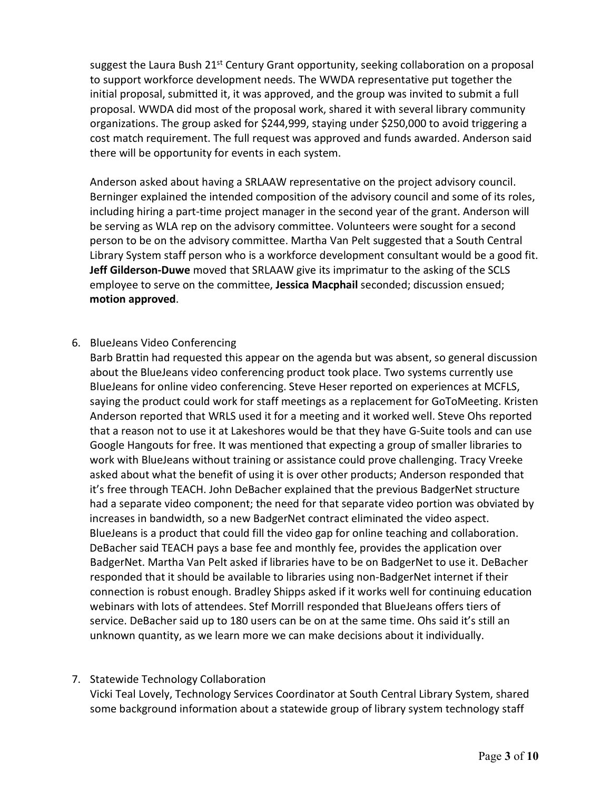suggest the Laura Bush 21<sup>st</sup> Century Grant opportunity, seeking collaboration on a proposal to support workforce development needs. The WWDA representative put together the initial proposal, submitted it, it was approved, and the group was invited to submit a full proposal. WWDA did most of the proposal work, shared it with several library community organizations. The group asked for \$244,999, staying under \$250,000 to avoid triggering a cost match requirement. The full request was approved and funds awarded. Anderson said there will be opportunity for events in each system.

Anderson asked about having a SRLAAW representative on the project advisory council. Berninger explained the intended composition of the advisory council and some of its roles, including hiring a part-time project manager in the second year of the grant. Anderson will be serving as WLA rep on the advisory committee. Volunteers were sought for a second person to be on the advisory committee. Martha Van Pelt suggested that a South Central Library System staff person who is a workforce development consultant would be a good fit. **Jeff Gilderson-Duwe** moved that SRLAAW give its imprimatur to the asking of the SCLS employee to serve on the committee, **Jessica Macphail** seconded; discussion ensued; **motion approved**.

# 6. BlueJeans Video Conferencing

Barb Brattin had requested this appear on the agenda but was absent, so general discussion about the BlueJeans video conferencing product took place. Two systems currently use BlueJeans for online video conferencing. Steve Heser reported on experiences at MCFLS, saying the product could work for staff meetings as a replacement for GoToMeeting. Kristen Anderson reported that WRLS used it for a meeting and it worked well. Steve Ohs reported that a reason not to use it at Lakeshores would be that they have G-Suite tools and can use Google Hangouts for free. It was mentioned that expecting a group of smaller libraries to work with BlueJeans without training or assistance could prove challenging. Tracy Vreeke asked about what the benefit of using it is over other products; Anderson responded that it's free through TEACH. John DeBacher explained that the previous BadgerNet structure had a separate video component; the need for that separate video portion was obviated by increases in bandwidth, so a new BadgerNet contract eliminated the video aspect. BlueJeans is a product that could fill the video gap for online teaching and collaboration. DeBacher said TEACH pays a base fee and monthly fee, provides the application over BadgerNet. Martha Van Pelt asked if libraries have to be on BadgerNet to use it. DeBacher responded that it should be available to libraries using non-BadgerNet internet if their connection is robust enough. Bradley Shipps asked if it works well for continuing education webinars with lots of attendees. Stef Morrill responded that BlueJeans offers tiers of service. DeBacher said up to 180 users can be on at the same time. Ohs said it's still an unknown quantity, as we learn more we can make decisions about it individually.

### 7. Statewide Technology Collaboration

Vicki Teal Lovely, Technology Services Coordinator at South Central Library System, shared some background information about a statewide group of library system technology staff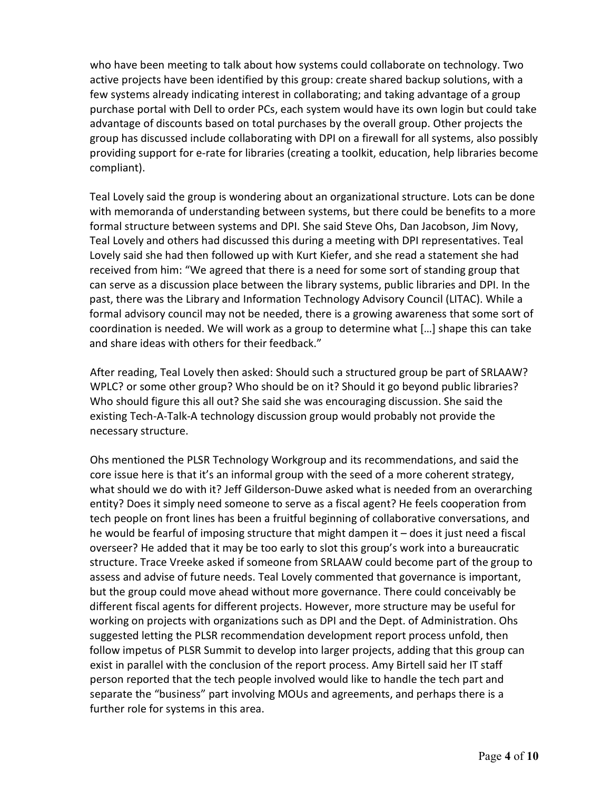who have been meeting to talk about how systems could collaborate on technology. Two active projects have been identified by this group: create shared backup solutions, with a few systems already indicating interest in collaborating; and taking advantage of a group purchase portal with Dell to order PCs, each system would have its own login but could take advantage of discounts based on total purchases by the overall group. Other projects the group has discussed include collaborating with DPI on a firewall for all systems, also possibly providing support for e-rate for libraries (creating a toolkit, education, help libraries become compliant).

Teal Lovely said the group is wondering about an organizational structure. Lots can be done with memoranda of understanding between systems, but there could be benefits to a more formal structure between systems and DPI. She said Steve Ohs, Dan Jacobson, Jim Novy, Teal Lovely and others had discussed this during a meeting with DPI representatives. Teal Lovely said she had then followed up with Kurt Kiefer, and she read a statement she had received from him: "We agreed that there is a need for some sort of standing group that can serve as a discussion place between the library systems, public libraries and DPI. In the past, there was the Library and Information Technology Advisory Council (LITAC). While a formal advisory council may not be needed, there is a growing awareness that some sort of coordination is needed. We will work as a group to determine what […] shape this can take and share ideas with others for their feedback."

After reading, Teal Lovely then asked: Should such a structured group be part of SRLAAW? WPLC? or some other group? Who should be on it? Should it go beyond public libraries? Who should figure this all out? She said she was encouraging discussion. She said the existing Tech-A-Talk-A technology discussion group would probably not provide the necessary structure.

Ohs mentioned the PLSR Technology Workgroup and its recommendations, and said the core issue here is that it's an informal group with the seed of a more coherent strategy, what should we do with it? Jeff Gilderson-Duwe asked what is needed from an overarching entity? Does it simply need someone to serve as a fiscal agent? He feels cooperation from tech people on front lines has been a fruitful beginning of collaborative conversations, and he would be fearful of imposing structure that might dampen it – does it just need a fiscal overseer? He added that it may be too early to slot this group's work into a bureaucratic structure. Trace Vreeke asked if someone from SRLAAW could become part of the group to assess and advise of future needs. Teal Lovely commented that governance is important, but the group could move ahead without more governance. There could conceivably be different fiscal agents for different projects. However, more structure may be useful for working on projects with organizations such as DPI and the Dept. of Administration. Ohs suggested letting the PLSR recommendation development report process unfold, then follow impetus of PLSR Summit to develop into larger projects, adding that this group can exist in parallel with the conclusion of the report process. Amy Birtell said her IT staff person reported that the tech people involved would like to handle the tech part and separate the "business" part involving MOUs and agreements, and perhaps there is a further role for systems in this area.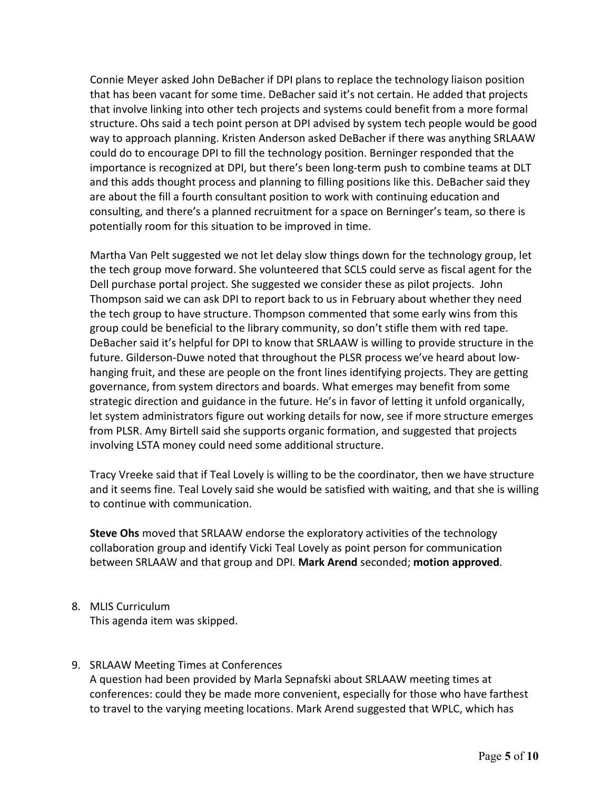Connie Meyer asked John DeBacher if DPI plans to replace the technology liaison position that has been vacant for some time. DeBacher said it's not certain. He added that projects that involve linking into other tech projects and systems could benefit from a more formal structure. Ohs said a tech point person at DPI advised by system tech people would be good way to approach planning. Kristen Anderson asked DeBacher if there was anything SRLAAW could do to encourage DPI to fill the technology position. Berninger responded that the importance is recognized at DPI, but there's been long-term push to combine teams at DLT and this adds thought process and planning to filling positions like this. DeBacher said they are about the fill a fourth consultant position to work with continuing education and consulting, and there's a planned recruitment for a space on Berninger's team, so there is potentially room for this situation to be improved in time.

Martha Van Pelt suggested we not let delay slow things down for the technology group, let the tech group move forward. She volunteered that SCLS could serve as fiscal agent for the Dell purchase portal project. She suggested we consider these as pilot projects. John Thompson said we can ask DPI to report back to us in February about whether they need the tech group to have structure. Thompson commented that some early wins from this group could be beneficial to the library community, so don't stifle them with red tape. DeBacher said it's helpful for DPI to know that SRLAAW is willing to provide structure in the future. Gilderson-Duwe noted that throughout the PLSR process we've heard about lowhanging fruit, and these are people on the front lines identifying projects. They are getting governance, from system directors and boards. What emerges may benefit from some strategic direction and guidance in the future. He's in favor of letting it unfold organically, let system administrators figure out working details for now, see if more structure emerges from PLSR. Amy Birtell said she supports organic formation, and suggested that projects involving LSTA money could need some additional structure.

Tracy Vreeke said that if Teal Lovely is willing to be the coordinator, then we have structure and it seems fine. Teal Lovely said she would be satisfied with waiting, and that she is willing to continue with communication.

**Steve Ohs** moved that SRLAAW endorse the exploratory activities of the technology collaboration group and identify Vicki Teal Lovely as point person for communication between SRLAAW and that group and DPI. **Mark Arend** seconded; **motion approved**.

8. MLIS Curriculum

This agenda item was skipped.

9. SRLAAW Meeting Times at Conferences

A question had been provided by Marla Sepnafski about SRLAAW meeting times at conferences: could they be made more convenient, especially for those who have farthest to travel to the varying meeting locations. Mark Arend suggested that WPLC, which has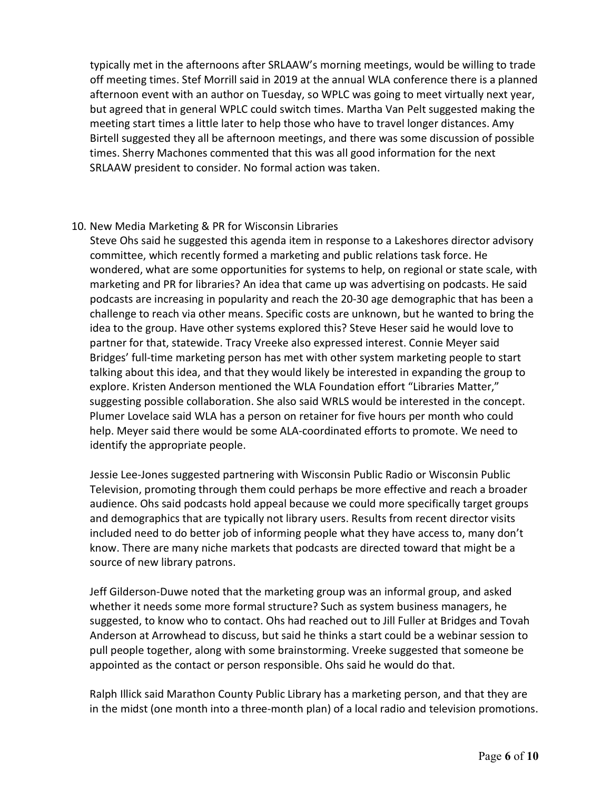typically met in the afternoons after SRLAAW's morning meetings, would be willing to trade off meeting times. Stef Morrill said in 2019 at the annual WLA conference there is a planned afternoon event with an author on Tuesday, so WPLC was going to meet virtually next year, but agreed that in general WPLC could switch times. Martha Van Pelt suggested making the meeting start times a little later to help those who have to travel longer distances. Amy Birtell suggested they all be afternoon meetings, and there was some discussion of possible times. Sherry Machones commented that this was all good information for the next SRLAAW president to consider. No formal action was taken.

### 10. New Media Marketing & PR for Wisconsin Libraries

Steve Ohs said he suggested this agenda item in response to a Lakeshores director advisory committee, which recently formed a marketing and public relations task force. He wondered, what are some opportunities for systems to help, on regional or state scale, with marketing and PR for libraries? An idea that came up was advertising on podcasts. He said podcasts are increasing in popularity and reach the 20-30 age demographic that has been a challenge to reach via other means. Specific costs are unknown, but he wanted to bring the idea to the group. Have other systems explored this? Steve Heser said he would love to partner for that, statewide. Tracy Vreeke also expressed interest. Connie Meyer said Bridges' full-time marketing person has met with other system marketing people to start talking about this idea, and that they would likely be interested in expanding the group to explore. Kristen Anderson mentioned the WLA Foundation effort "Libraries Matter," suggesting possible collaboration. She also said WRLS would be interested in the concept. Plumer Lovelace said WLA has a person on retainer for five hours per month who could help. Meyer said there would be some ALA-coordinated efforts to promote. We need to identify the appropriate people.

Jessie Lee-Jones suggested partnering with Wisconsin Public Radio or Wisconsin Public Television, promoting through them could perhaps be more effective and reach a broader audience. Ohs said podcasts hold appeal because we could more specifically target groups and demographics that are typically not library users. Results from recent director visits included need to do better job of informing people what they have access to, many don't know. There are many niche markets that podcasts are directed toward that might be a source of new library patrons.

Jeff Gilderson-Duwe noted that the marketing group was an informal group, and asked whether it needs some more formal structure? Such as system business managers, he suggested, to know who to contact. Ohs had reached out to Jill Fuller at Bridges and Tovah Anderson at Arrowhead to discuss, but said he thinks a start could be a webinar session to pull people together, along with some brainstorming. Vreeke suggested that someone be appointed as the contact or person responsible. Ohs said he would do that.

Ralph Illick said Marathon County Public Library has a marketing person, and that they are in the midst (one month into a three-month plan) of a local radio and television promotions.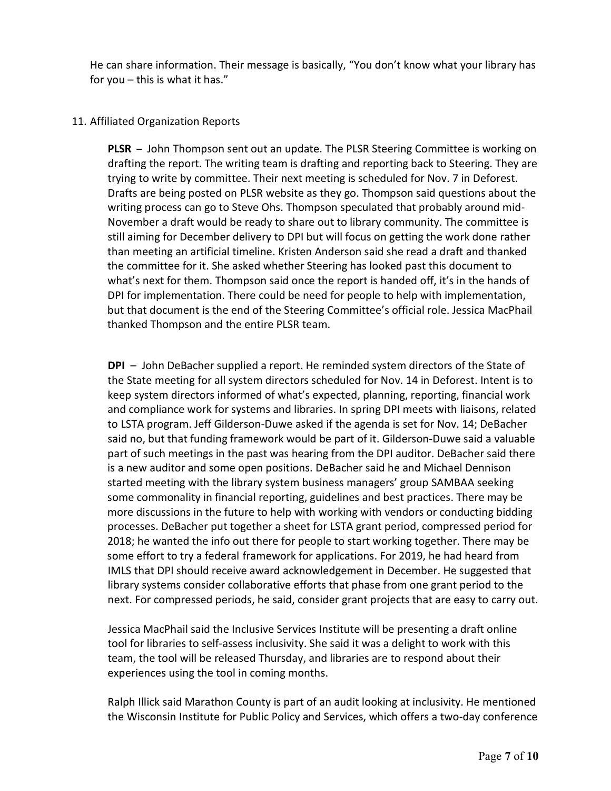He can share information. Their message is basically, "You don't know what your library has for you – this is what it has."

### 11. Affiliated Organization Reports

**PLSR** – John Thompson sent out an update. The PLSR Steering Committee is working on drafting the report. The writing team is drafting and reporting back to Steering. They are trying to write by committee. Their next meeting is scheduled for Nov. 7 in Deforest. Drafts are being posted on PLSR website as they go. Thompson said questions about the writing process can go to Steve Ohs. Thompson speculated that probably around mid-November a draft would be ready to share out to library community. The committee is still aiming for December delivery to DPI but will focus on getting the work done rather than meeting an artificial timeline. Kristen Anderson said she read a draft and thanked the committee for it. She asked whether Steering has looked past this document to what's next for them. Thompson said once the report is handed off, it's in the hands of DPI for implementation. There could be need for people to help with implementation, but that document is the end of the Steering Committee's official role. Jessica MacPhail thanked Thompson and the entire PLSR team.

**DPI** – John DeBacher supplied a report. He reminded system directors of the State of the State meeting for all system directors scheduled for Nov. 14 in Deforest. Intent is to keep system directors informed of what's expected, planning, reporting, financial work and compliance work for systems and libraries. In spring DPI meets with liaisons, related to LSTA program. Jeff Gilderson-Duwe asked if the agenda is set for Nov. 14; DeBacher said no, but that funding framework would be part of it. Gilderson-Duwe said a valuable part of such meetings in the past was hearing from the DPI auditor. DeBacher said there is a new auditor and some open positions. DeBacher said he and Michael Dennison started meeting with the library system business managers' group SAMBAA seeking some commonality in financial reporting, guidelines and best practices. There may be more discussions in the future to help with working with vendors or conducting bidding processes. DeBacher put together a sheet for LSTA grant period, compressed period for 2018; he wanted the info out there for people to start working together. There may be some effort to try a federal framework for applications. For 2019, he had heard from IMLS that DPI should receive award acknowledgement in December. He suggested that library systems consider collaborative efforts that phase from one grant period to the next. For compressed periods, he said, consider grant projects that are easy to carry out.

Jessica MacPhail said the Inclusive Services Institute will be presenting a draft online tool for libraries to self-assess inclusivity. She said it was a delight to work with this team, the tool will be released Thursday, and libraries are to respond about their experiences using the tool in coming months.

Ralph Illick said Marathon County is part of an audit looking at inclusivity. He mentioned the Wisconsin Institute for Public Policy and Services, which offers a two-day conference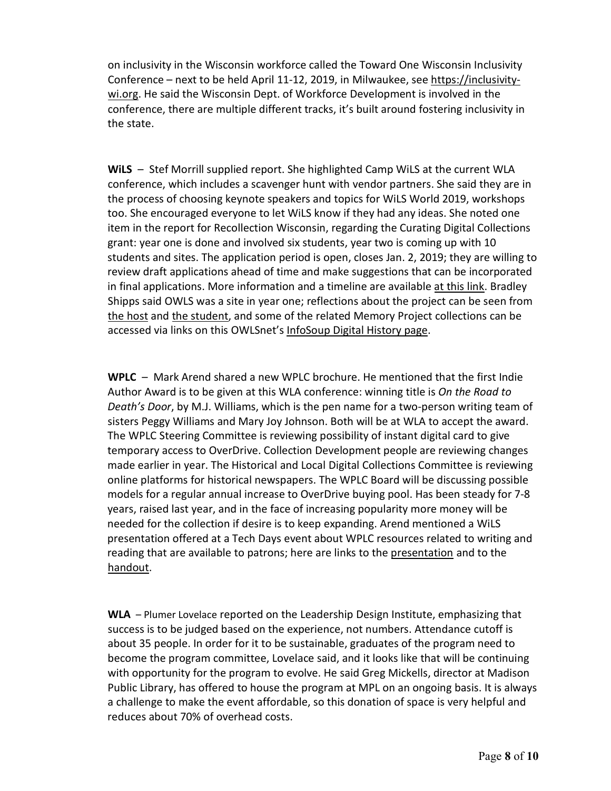on inclusivity in the Wisconsin workforce called the Toward One Wisconsin Inclusivity Conference – next to be held April 11-12, 2019, in Milwaukee, see [https://inclusivity](https://inclusivity-wi.org/)[wi.org.](https://inclusivity-wi.org/) He said the Wisconsin Dept. of Workforce Development is involved in the conference, there are multiple different tracks, it's built around fostering inclusivity in the state.

**WiLS** – Stef Morrill supplied report. She highlighted Camp WiLS at the current WLA conference, which includes a scavenger hunt with vendor partners. She said they are in the process of choosing keynote speakers and topics for WiLS World 2019, workshops too. She encouraged everyone to let WiLS know if they had any ideas. She noted one item in the report for Recollection Wisconsin, regarding the Curating Digital Collections grant: year one is done and involved six students, year two is coming up with 10 students and sites. The application period is open, closes Jan. 2, 2019; they are willing to review draft applications ahead of time and make suggestions that can be incorporated in final applications. More information and a timeline are available at this [link.](https://recollectionwisconsin.org/digipres) Bradley Shipps said OWLS was a site in year one; reflections about the project can be seen from the [host](https://recollectionwisconsin.org/ccdc-host-reflections-outagamie-waupaca-library-system) and the [student,](https://recollectionwisconsin.org/ccdc-student-reflections-outagamie-waupaca-library-system) and some of the related Memory Project collections can be accessed via links on this OWLSnet's [InfoSoup](http://www.infosoup.info/digital-history) Digital History page.

**WPLC** – Mark Arend shared a new WPLC brochure. He mentioned that the first Indie Author Award is to be given at this WLA conference: winning title is *On the Road to Death's Door*, by M.J. Williams, which is the pen name for a two-person writing team of sisters Peggy Williams and Mary Joy Johnson. Both will be at WLA to accept the award. The WPLC Steering Committee is reviewing possibility of instant digital card to give temporary access to OverDrive. Collection Development people are reviewing changes made earlier in year. The Historical and Local Digital Collections Committee is reviewing online platforms for historical newspapers. The WPLC Board will be discussing possible models for a regular annual increase to OverDrive buying pool. Has been steady for 7-8 years, raised last year, and in the face of increasing popularity more money will be needed for the collection if desire is to keep expanding. Arend mentioned a WiLS presentation offered at a Tech Days event about WPLC resources related to writing and reading that are available to patrons; here are links to the [presentation](https://docs.google.com/presentation/d/1IEXyNWDD2rdOs4aSOsYzQa38UwLP_kpH-ykh6ElPDL0/edit#slide=id.p) and to the [handout.](https://docs.google.com/document/d/1yToMkr8LVrQ5SUiVlB-qWb9exGbkUDBbyest8MW-k-I/edit)

**WLA** – Plumer Lovelace reported on the Leadership Design Institute, emphasizing that success is to be judged based on the experience, not numbers. Attendance cutoff is about 35 people. In order for it to be sustainable, graduates of the program need to become the program committee, Lovelace said, and it looks like that will be continuing with opportunity for the program to evolve. He said Greg Mickells, director at Madison Public Library, has offered to house the program at MPL on an ongoing basis. It is always a challenge to make the event affordable, so this donation of space is very helpful and reduces about 70% of overhead costs.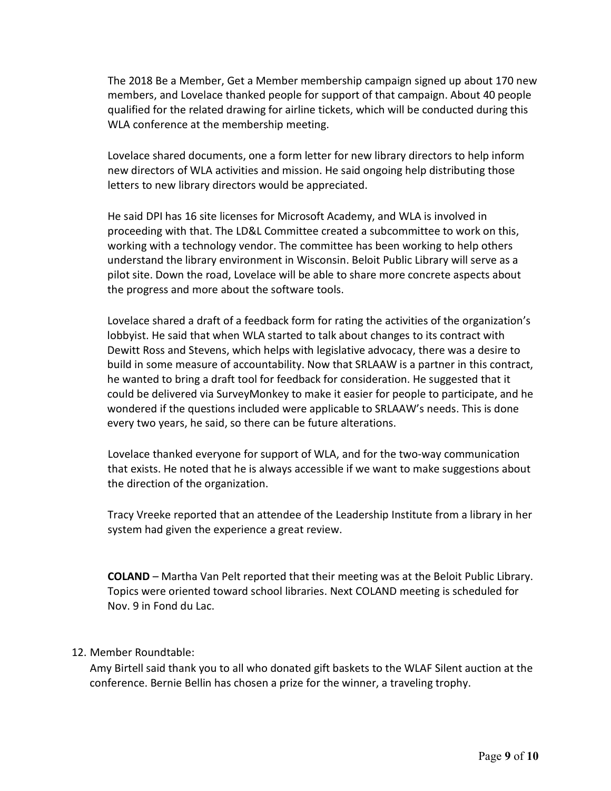The 2018 Be a Member, Get a Member membership campaign signed up about 170 new members, and Lovelace thanked people for support of that campaign. About 40 people qualified for the related drawing for airline tickets, which will be conducted during this WLA conference at the membership meeting.

Lovelace shared documents, one a form letter for new library directors to help inform new directors of WLA activities and mission. He said ongoing help distributing those letters to new library directors would be appreciated.

He said DPI has 16 site licenses for Microsoft Academy, and WLA is involved in proceeding with that. The LD&L Committee created a subcommittee to work on this, working with a technology vendor. The committee has been working to help others understand the library environment in Wisconsin. Beloit Public Library will serve as a pilot site. Down the road, Lovelace will be able to share more concrete aspects about the progress and more about the software tools.

Lovelace shared a draft of a feedback form for rating the activities of the organization's lobbyist. He said that when WLA started to talk about changes to its contract with Dewitt Ross and Stevens, which helps with legislative advocacy, there was a desire to build in some measure of accountability. Now that SRLAAW is a partner in this contract, he wanted to bring a draft tool for feedback for consideration. He suggested that it could be delivered via SurveyMonkey to make it easier for people to participate, and he wondered if the questions included were applicable to SRLAAW's needs. This is done every two years, he said, so there can be future alterations.

Lovelace thanked everyone for support of WLA, and for the two-way communication that exists. He noted that he is always accessible if we want to make suggestions about the direction of the organization.

Tracy Vreeke reported that an attendee of the Leadership Institute from a library in her system had given the experience a great review.

**COLAND** – Martha Van Pelt reported that their meeting was at the Beloit Public Library. Topics were oriented toward school libraries. Next COLAND meeting is scheduled for Nov. 9 in Fond du Lac.

#### 12. Member Roundtable:

Amy Birtell said thank you to all who donated gift baskets to the WLAF Silent auction at the conference. Bernie Bellin has chosen a prize for the winner, a traveling trophy.